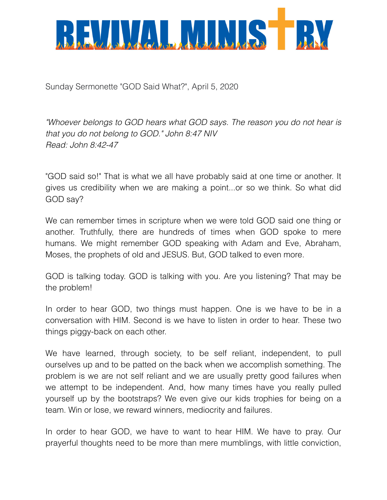

Sunday Sermonette "GOD Said What?", April 5, 2020

*"Whoever belongs to GOD hears what GOD says. The reason you do not hear is that you do not belong to GOD." John 8:47 NIV Read: John 8:42-47* 

"GOD said so!" That is what we all have probably said at one time or another. It gives us credibility when we are making a point...or so we think. So what did GOD say?

We can remember times in scripture when we were told GOD said one thing or another. Truthfully, there are hundreds of times when GOD spoke to mere humans. We might remember GOD speaking with Adam and Eve, Abraham, Moses, the prophets of old and JESUS. But, GOD talked to even more.

GOD is talking today. GOD is talking with you. Are you listening? That may be the problem!

In order to hear GOD, two things must happen. One is we have to be in a conversation with HIM. Second is we have to listen in order to hear. These two things piggy-back on each other.

We have learned, through society, to be self reliant, independent, to pull ourselves up and to be patted on the back when we accomplish something. The problem is we are not self reliant and we are usually pretty good failures when we attempt to be independent. And, how many times have you really pulled yourself up by the bootstraps? We even give our kids trophies for being on a team. Win or lose, we reward winners, mediocrity and failures.

In order to hear GOD, we have to want to hear HIM. We have to pray. Our prayerful thoughts need to be more than mere mumblings, with little conviction,